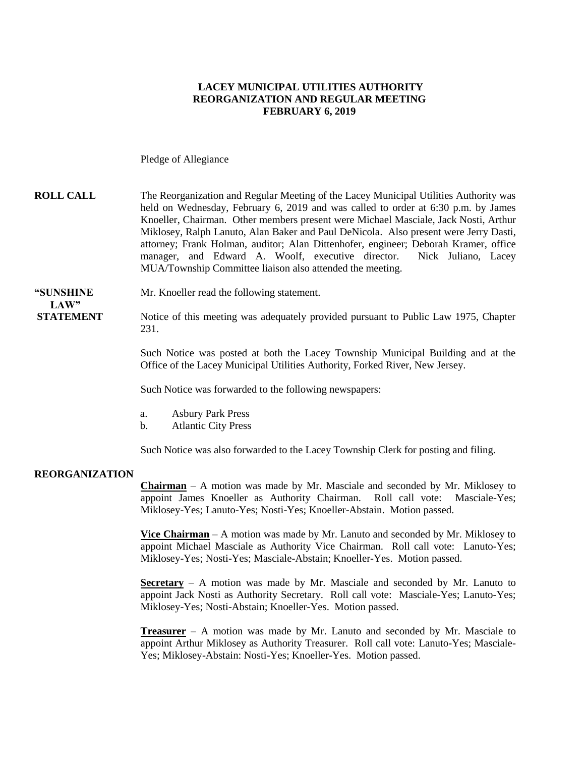### **LACEY MUNICIPAL UTILITIES AUTHORITY REORGANIZATION AND REGULAR MEETING FEBRUARY 6, 2019**

Pledge of Allegiance

### **ROLL CALL** The Reorganization and Regular Meeting of the Lacey Municipal Utilities Authority was held on Wednesday, February 6, 2019 and was called to order at 6:30 p.m. by James Knoeller, Chairman. Other members present were Michael Masciale, Jack Nosti, Arthur Miklosey, Ralph Lanuto, Alan Baker and Paul DeNicola. Also present were Jerry Dasti, attorney; Frank Holman, auditor; Alan Dittenhofer, engineer; Deborah Kramer, office manager, and Edward A. Woolf, executive director. Nick Juliano, Lacey MUA/Township Committee liaison also attended the meeting.

### **"SUNSHINE** Mr. Knoeller read the following statement.

LAW"

**STATEMENT** Notice of this meeting was adequately provided pursuant to Public Law 1975, Chapter 231.

> Such Notice was posted at both the Lacey Township Municipal Building and at the Office of the Lacey Municipal Utilities Authority, Forked River, New Jersey.

Such Notice was forwarded to the following newspapers:

- a. Asbury Park Press
- b. Atlantic City Press

Such Notice was also forwarded to the Lacey Township Clerk for posting and filing.

#### **REORGANIZATION**

**Chairman** – A motion was made by Mr. Masciale and seconded by Mr. Miklosey to appoint James Knoeller as Authority Chairman. Roll call vote: Masciale-Yes; Miklosey-Yes; Lanuto-Yes; Nosti-Yes; Knoeller-Abstain. Motion passed.

**Vice Chairman** – A motion was made by Mr. Lanuto and seconded by Mr. Miklosey to appoint Michael Masciale as Authority Vice Chairman. Roll call vote: Lanuto-Yes; Miklosey-Yes; Nosti-Yes; Masciale-Abstain; Knoeller-Yes. Motion passed.

**Secretary** – A motion was made by Mr. Masciale and seconded by Mr. Lanuto to appoint Jack Nosti as Authority Secretary. Roll call vote: Masciale-Yes; Lanuto-Yes; Miklosey-Yes; Nosti-Abstain; Knoeller-Yes. Motion passed.

**Treasurer** – A motion was made by Mr. Lanuto and seconded by Mr. Masciale to appoint Arthur Miklosey as Authority Treasurer. Roll call vote: Lanuto-Yes; Masciale-Yes; Miklosey-Abstain: Nosti-Yes; Knoeller-Yes. Motion passed.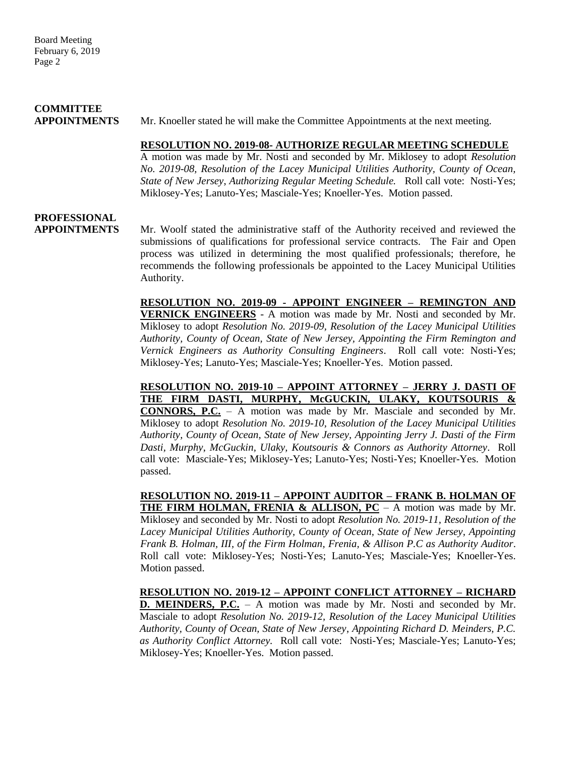## **COMMITTEE**

**APPOINTMENTS**Mr. Knoeller stated he will make the Committee Appointments at the next meeting.

### **RESOLUTION NO. 2019-08- AUTHORIZE REGULAR MEETING SCHEDULE**

A motion was made by Mr. Nosti and seconded by Mr. Miklosey to adopt *Resolution No. 2019-08, Resolution of the Lacey Municipal Utilities Authority, County of Ocean, State of New Jersey*, *Authorizing Regular Meeting Schedule.* Roll call vote: Nosti-Yes; Miklosey-Yes; Lanuto-Yes; Masciale-Yes; Knoeller-Yes. Motion passed.

## **PROFESSIONAL**

**APPOINTMENTS** Mr. Woolf stated the administrative staff of the Authority received and reviewed the submissions of qualifications for professional service contracts. The Fair and Open process was utilized in determining the most qualified professionals; therefore, he recommends the following professionals be appointed to the Lacey Municipal Utilities Authority.

> **RESOLUTION NO. 2019-09 - APPOINT ENGINEER – REMINGTON AND VERNICK ENGINEERS** - A motion was made by Mr. Nosti and seconded by Mr. Miklosey to adopt *Resolution No. 2019-09, Resolution of the Lacey Municipal Utilities Authority, County of Ocean, State of New Jersey, Appointing the Firm Remington and Vernick Engineers as Authority Consulting Engineers*. Roll call vote: Nosti-Yes; Miklosey-Yes; Lanuto-Yes; Masciale-Yes; Knoeller-Yes. Motion passed.

> **RESOLUTION NO. 2019-10 – APPOINT ATTORNEY – JERRY J. DASTI OF THE FIRM DASTI, MURPHY, McGUCKIN, ULAKY, KOUTSOURIS & CONNORS, P.C.** – A motion was made by Mr. Masciale and seconded by Mr. Miklosey to adopt *Resolution No. 2019-10, Resolution of the Lacey Municipal Utilities Authority, County of Ocean, State of New Jersey, Appointing Jerry J. Dasti of the Firm Dasti, Murphy*, *McGuckin, Ulaky, Koutsouris & Connors as Authority Attorney*. Roll call vote: Masciale-Yes; Miklosey-Yes; Lanuto-Yes; Nosti-Yes; Knoeller-Yes. Motion passed.

> **RESOLUTION NO. 2019-11 – APPOINT AUDITOR – FRANK B. HOLMAN OF THE FIRM HOLMAN, FRENIA & ALLISON, PC** – A motion was made by Mr. Miklosey and seconded by Mr. Nosti to adopt *Resolution No. 2019-11, Resolution of the Lacey Municipal Utilities Authority, County of Ocean, State of New Jersey, Appointing Frank B. Holman, III, of the Firm Holman, Frenia, & Allison P.C as Authority Auditor*. Roll call vote: Miklosey-Yes; Nosti-Yes; Lanuto-Yes; Masciale-Yes; Knoeller-Yes. Motion passed.

> **RESOLUTION NO. 2019-12 – APPOINT CONFLICT ATTORNEY – RICHARD D. MEINDERS, P.C.** – A motion was made by Mr. Nosti and seconded by Mr. Masciale to adopt *Resolution No. 2019-12, Resolution of the Lacey Municipal Utilities Authority, County of Ocean, State of New Jersey*, *Appointing Richard D. Meinders, P.C. as Authority Conflict Attorney.* Roll call vote: Nosti-Yes; Masciale-Yes; Lanuto-Yes; Miklosey-Yes; Knoeller-Yes. Motion passed.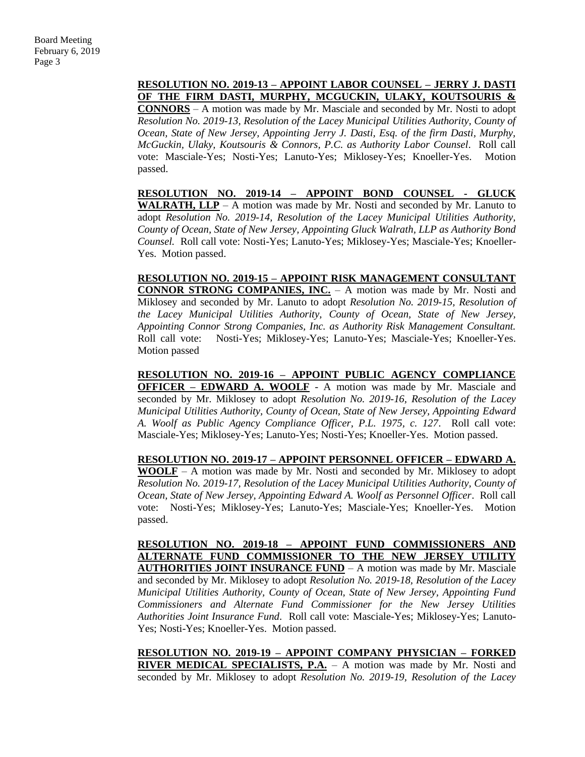### **RESOLUTION NO. 2019-13 – APPOINT LABOR COUNSEL – JERRY J. DASTI OF THE FIRM DASTI, MURPHY, MCGUCKIN, ULAKY, KOUTSOURIS &**

**CONNORS** – A motion was made by Mr. Masciale and seconded by Mr. Nosti to adopt *Resolution No. 2019-13, Resolution of the Lacey Municipal Utilities Authority, County of Ocean, State of New Jersey, Appointing Jerry J. Dasti, Esq. of the firm Dasti, Murphy, McGuckin, Ulaky, Koutsouris & Connors, P.C. as Authority Labor Counsel*. Roll call vote: Masciale-Yes; Nosti-Yes; Lanuto-Yes; Miklosey-Yes; Knoeller-Yes. Motion passed.

**RESOLUTION NO. 2019-14 – APPOINT BOND COUNSEL - GLUCK WALRATH, LLP** – A motion was made by Mr. Nosti and seconded by Mr. Lanuto to adopt *Resolution No. 2019-14, Resolution of the Lacey Municipal Utilities Authority, County of Ocean, State of New Jersey, Appointing Gluck Walrath, LLP as Authority Bond Counsel.* Roll call vote: Nosti-Yes; Lanuto-Yes; Miklosey-Yes; Masciale-Yes; Knoeller-Yes. Motion passed.

**RESOLUTION NO. 2019-15 – APPOINT RISK MANAGEMENT CONSULTANT CONNOR STRONG COMPANIES, INC.** – A motion was made by Mr. Nosti and Miklosey and seconded by Mr. Lanuto to adopt *Resolution No. 2019-15, Resolution of the Lacey Municipal Utilities Authority, County of Ocean, State of New Jersey, Appointing Connor Strong Companies, Inc. as Authority Risk Management Consultant.*  Roll call vote: Nosti-Yes; Miklosey-Yes; Lanuto-Yes; Masciale-Yes; Knoeller-Yes. Motion passed

**RESOLUTION NO. 2019-16 – APPOINT PUBLIC AGENCY COMPLIANCE OFFICER – EDWARD A. WOOLF** - A motion was made by Mr. Masciale and seconded by Mr. Miklosey to adopt *Resolution No. 2019-16, Resolution of the Lacey Municipal Utilities Authority, County of Ocean, State of New Jersey, Appointing Edward A. Woolf as Public Agency Compliance Officer, P.L. 1975, c. 127*. Roll call vote: Masciale-Yes; Miklosey-Yes; Lanuto-Yes; Nosti-Yes; Knoeller-Yes. Motion passed.

**RESOLUTION NO. 2019-17 – APPOINT PERSONNEL OFFICER – EDWARD A. WOOLF** – A motion was made by Mr. Nosti and seconded by Mr. Miklosey to adopt *Resolution No. 2019-17, Resolution of the Lacey Municipal Utilities Authority, County of Ocean, State of New Jersey, Appointing Edward A. Woolf as Personnel Officer*. Roll call vote: Nosti-Yes; Miklosey-Yes; Lanuto-Yes; Masciale-Yes; Knoeller-Yes. Motion passed.

**RESOLUTION NO. 2019-18 – APPOINT FUND COMMISSIONERS AND ALTERNATE FUND COMMISSIONER TO THE NEW JERSEY UTILITY AUTHORITIES JOINT INSURANCE FUND** – A motion was made by Mr. Masciale and seconded by Mr. Miklosey to adopt *Resolution No. 2019-18, Resolution of the Lacey Municipal Utilities Authority, County of Ocean, State of New Jersey, Appointing Fund Commissioners and Alternate Fund Commissioner for the New Jersey Utilities Authorities Joint Insurance Fund*. Roll call vote: Masciale-Yes; Miklosey-Yes; Lanuto-Yes; Nosti-Yes; Knoeller-Yes. Motion passed.

**RESOLUTION NO. 2019-19 – APPOINT COMPANY PHYSICIAN – FORKED RIVER MEDICAL SPECIALISTS, P.A.** – A motion was made by Mr. Nosti and seconded by Mr. Miklosey to adopt *Resolution No. 2019-19, Resolution of the Lacey*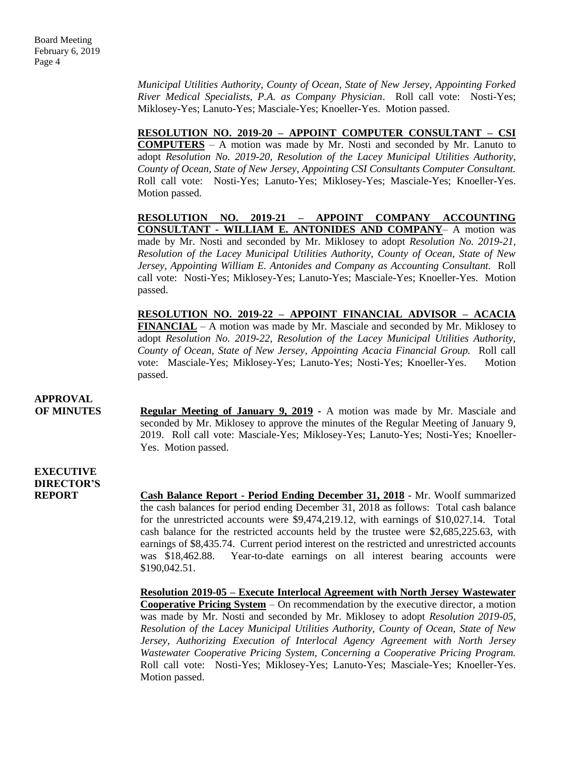*Municipal Utilities Authority, County of Ocean, State of New Jersey, Appointing Forked River Medical Specialists, P.A. as Company Physician*. Roll call vote: Nosti-Yes; Miklosey-Yes; Lanuto-Yes; Masciale-Yes; Knoeller-Yes. Motion passed.

**RESOLUTION NO. 2019-20 – APPOINT COMPUTER CONSULTANT – CSI COMPUTERS** – A motion was made by Mr. Nosti and seconded by Mr. Lanuto to adopt *Resolution No. 2019-20, Resolution of the Lacey Municipal Utilities Authority, County of Ocean, State of New Jersey, Appointing CSI Consultants Computer Consultant.* Roll call vote: Nosti-Yes; Lanuto-Yes; Miklosey-Yes; Masciale-Yes; Knoeller-Yes. Motion passed.

**RESOLUTION NO. 2019-21 – APPOINT COMPANY ACCOUNTING CONSULTANT - WILLIAM E. ANTONIDES AND COMPANY**– A motion was made by Mr. Nosti and seconded by Mr. Miklosey to adopt *Resolution No. 2019-21, Resolution of the Lacey Municipal Utilities Authority, County of Ocean, State of New Jersey, Appointing William E. Antonides and Company as Accounting Consultant.* Roll call vote: Nosti-Yes; Miklosey-Yes; Lanuto-Yes; Masciale-Yes; Knoeller-Yes. Motion passed.

**RESOLUTION NO. 2019-22 – APPOINT FINANCIAL ADVISOR – ACACIA FINANCIAL** – A motion was made by Mr. Masciale and seconded by Mr. Miklosey to adopt *Resolution No. 2019-22, Resolution of the Lacey Municipal Utilities Authority, County of Ocean, State of New Jersey, Appointing Acacia Financial Group.* Roll call vote: Masciale-Yes; Miklosey-Yes; Lanuto-Yes; Nosti-Yes; Knoeller-Yes. Motion passed.

# **APPROVAL**

**OF MINUTES Regular Meeting of January 9, 2019 -** A motion was made by Mr. Masciale and seconded by Mr. Miklosey to approve the minutes of the Regular Meeting of January 9, 2019. Roll call vote: Masciale-Yes; Miklosey-Yes; Lanuto-Yes; Nosti-Yes; Knoeller-Yes. Motion passed.

### **EXECUTIVE DIRECTOR'S**

**REPORT Cash Balance Report - Period Ending December 31, 2018** - Mr. Woolf summarized the cash balances for period ending December 31, 2018 as follows: Total cash balance for the unrestricted accounts were \$9,474,219.12, with earnings of \$10,027.14. Total cash balance for the restricted accounts held by the trustee were \$2,685,225.63, with earnings of \$8,435.74. Current period interest on the restricted and unrestricted accounts was \$18,462.88. Year-to-date earnings on all interest bearing accounts were \$190,042.51.

> **Resolution 2019-05 – Execute Interlocal Agreement with North Jersey Wastewater Cooperative Pricing System** – On recommendation by the executive director, a motion was made by Mr. Nosti and seconded by Mr. Miklosey to adopt *Resolution 2019-05, Resolution of the Lacey Municipal Utilities Authority, County of Ocean, State of New Jersey, Authorizing Execution of Interlocal Agency Agreement with North Jersey Wastewater Cooperative Pricing System, Concerning a Cooperative Pricing Program.*  Roll call vote: Nosti-Yes; Miklosey-Yes; Lanuto-Yes; Masciale-Yes; Knoeller-Yes. Motion passed.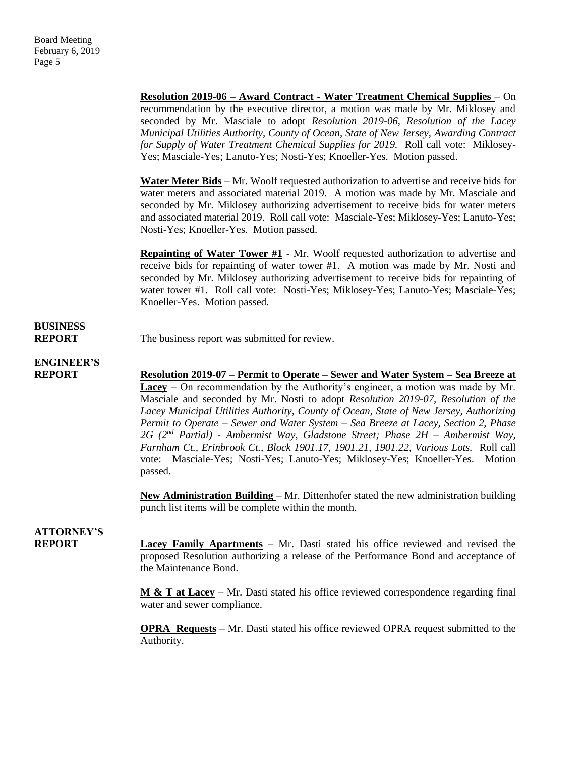**Resolution 2019-06 – Award Contract - Water Treatment Chemical Supplies** – On recommendation by the executive director, a motion was made by Mr. Miklosey and seconded by Mr. Masciale to adopt *Resolution 2019-06, Resolution of the Lacey Municipal Utilities Authority, County of Ocean, State of New Jersey, Awarding Contract for Supply of Water Treatment Chemical Supplies for 2019.* Roll call vote: Miklosey-Yes; Masciale-Yes; Lanuto-Yes; Nosti-Yes; Knoeller-Yes. Motion passed.

**Water Meter Bids** – Mr. Woolf requested authorization to advertise and receive bids for water meters and associated material 2019. A motion was made by Mr. Masciale and seconded by Mr. Miklosey authorizing advertisement to receive bids for water meters and associated material 2019. Roll call vote: Masciale-Yes; Miklosey-Yes; Lanuto-Yes; Nosti-Yes; Knoeller-Yes. Motion passed.

**Repainting of Water Tower #1** - Mr. Woolf requested authorization to advertise and receive bids for repainting of water tower #1. A motion was made by Mr. Nosti and seconded by Mr. Miklosey authorizing advertisement to receive bids for repainting of water tower #1. Roll call vote: Nosti-Yes; Miklosey-Yes; Lanuto-Yes; Masciale-Yes; Knoeller-Yes. Motion passed.

# **BUSINESS**

**REPORT** The business report was submitted for review.

## **ENGINEER'S**

**REPORT Resolution 2019-07 – Permit to Operate – Sewer and Water System – Sea Breeze at Lacey** – On recommendation by the Authority's engineer, a motion was made by Mr. Masciale and seconded by Mr. Nosti to adopt *Resolution 2019-07, Resolution of the Lacey Municipal Utilities Authority, County of Ocean, State of New Jersey, Authorizing Permit to Operate – Sewer and Water System – Sea Breeze at Lacey, Section 2, Phase 2G (2nd Partial) - Ambermist Way, Gladstone Street; Phase 2H – Ambermist Way, Farnham Ct., Erinbrook Ct., Block 1901.17, 1901.21, 1901.22, Various Lots.* Roll call vote: Masciale-Yes; Nosti-Yes; Lanuto-Yes; Miklosey-Yes; Knoeller-Yes. Motion passed.

> **New Administration Building** – Mr. Dittenhofer stated the new administration building punch list items will be complete within the month.

# **ATTORNEY'S**

**REPORT Lacey Family Apartments** – Mr. Dasti stated his office reviewed and revised the proposed Resolution authorizing a release of the Performance Bond and acceptance of the Maintenance Bond.

> **M & T at Lacey** – Mr. Dasti stated his office reviewed correspondence regarding final water and sewer compliance.

> **OPRA Requests** – Mr. Dasti stated his office reviewed OPRA request submitted to the Authority.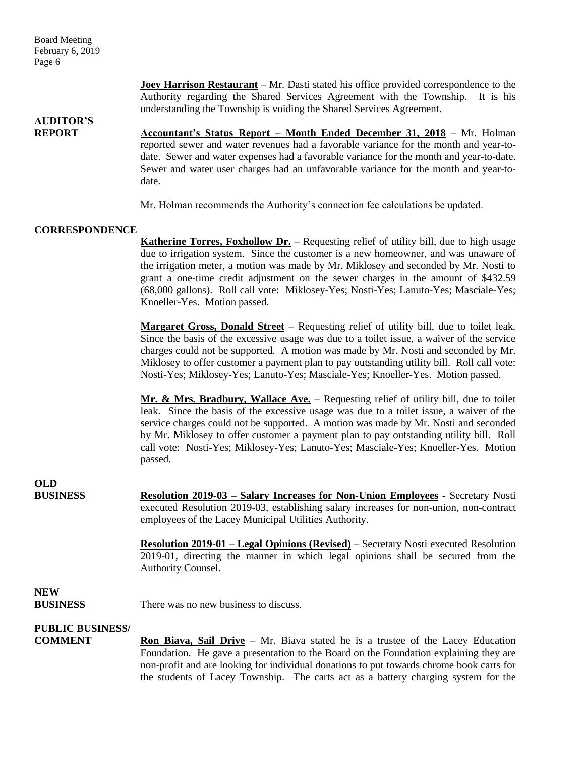**Joey Harrison Restaurant** – Mr. Dasti stated his office provided correspondence to the Authority regarding the Shared Services Agreement with the Township. It is his understanding the Township is voiding the Shared Services Agreement.

# **AUDITOR'S**

**REPORT Accountant's Status Report – Month Ended December 31, 2018** – Mr. Holman reported sewer and water revenues had a favorable variance for the month and year-todate. Sewer and water expenses had a favorable variance for the month and year-to-date. Sewer and water user charges had an unfavorable variance for the month and year-todate.

Mr. Holman recommends the Authority's connection fee calculations be updated.

### **CORRESPONDENCE**

**Katherine Torres, Foxhollow Dr.** – Requesting relief of utility bill, due to high usage due to irrigation system. Since the customer is a new homeowner, and was unaware of the irrigation meter, a motion was made by Mr. Miklosey and seconded by Mr. Nosti to grant a one-time credit adjustment on the sewer charges in the amount of \$432.59 (68,000 gallons). Roll call vote: Miklosey-Yes; Nosti-Yes; Lanuto-Yes; Masciale-Yes; Knoeller-Yes. Motion passed.

**Margaret Gross, Donald Street** – Requesting relief of utility bill, due to toilet leak. Since the basis of the excessive usage was due to a toilet issue, a waiver of the service charges could not be supported. A motion was made by Mr. Nosti and seconded by Mr. Miklosey to offer customer a payment plan to pay outstanding utility bill. Roll call vote: Nosti-Yes; Miklosey-Yes; Lanuto-Yes; Masciale-Yes; Knoeller-Yes. Motion passed.

**Mr. & Mrs. Bradbury, Wallace Ave.** – Requesting relief of utility bill, due to toilet leak. Since the basis of the excessive usage was due to a toilet issue, a waiver of the service charges could not be supported. A motion was made by Mr. Nosti and seconded by Mr. Miklosey to offer customer a payment plan to pay outstanding utility bill. Roll call vote: Nosti-Yes; Miklosey-Yes; Lanuto-Yes; Masciale-Yes; Knoeller-Yes. Motion passed.

**OLD**

**BUSINESS Resolution 2019-03 – Salary Increases for Non-Union Employees -** Secretary Nosti executed Resolution 2019-03, establishing salary increases for non-union, non-contract employees of the Lacey Municipal Utilities Authority.

> **Resolution 2019-01 – Legal Opinions (Revised)** – Secretary Nosti executed Resolution 2019-01, directing the manner in which legal opinions shall be secured from the Authority Counsel.

# **NEW**

```
There was no new business to discuss.
```
### **PUBLIC BUSINESS/**

**COMMENT Ron Biava, Sail Drive** – Mr. Biava stated he is a trustee of the Lacey Education Foundation. He gave a presentation to the Board on the Foundation explaining they are non-profit and are looking for individual donations to put towards chrome book carts for the students of Lacey Township. The carts act as a battery charging system for the